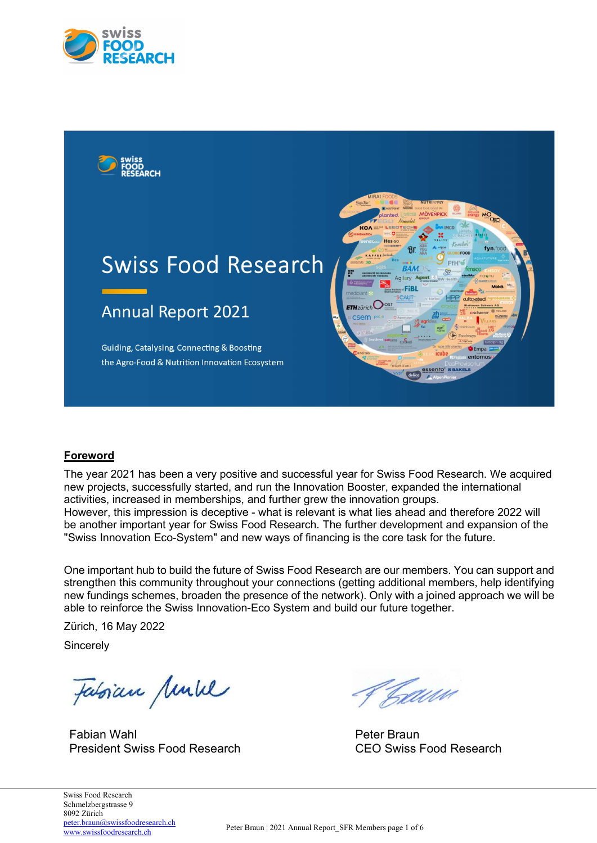



# Foreword

The year 2021 has been a very positive and successful year for Swiss Food Research. We acquired new projects, successfully started, and run the Innovation Booster, expanded the international activities, increased in memberships, and further grew the innovation groups. However, this impression is deceptive - what is relevant is what lies ahead and therefore 2022 will be another important year for Swiss Food Research. The further development and expansion of the "Swiss Innovation Eco-System" and new ways of financing is the core task for the future.

One important hub to build the future of Swiss Food Research are our members. You can support and strengthen this community throughout your connections (getting additional members, help identifying new fundings schemes, broaden the presence of the network). Only with a joined approach we will be able to reinforce the Swiss Innovation-Eco System and build our future together.

Zürich, 16 May 2022

**Sincerely** 

Fatorian Mulle

Fabian Wahl President Swiss Food Research

Taww

Peter Braun CEO Swiss Food Research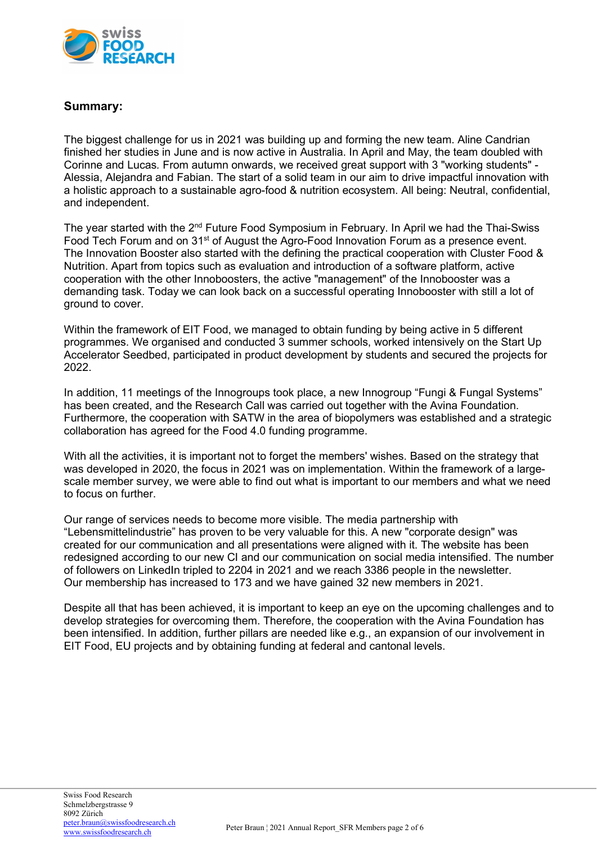

## Summary:

The biggest challenge for us in 2021 was building up and forming the new team. Aline Candrian finished her studies in June and is now active in Australia. In April and May, the team doubled with Corinne and Lucas. From autumn onwards, we received great support with 3 "working students" - Alessia, Alejandra and Fabian. The start of a solid team in our aim to drive impactful innovation with a holistic approach to a sustainable agro-food & nutrition ecosystem. All being: Neutral, confidential, and independent.

The year started with the 2<sup>nd</sup> Future Food Symposium in February. In April we had the Thai-Swiss Food Tech Forum and on 31<sup>st</sup> of August the Agro-Food Innovation Forum as a presence event. The Innovation Booster also started with the defining the practical cooperation with Cluster Food & Nutrition. Apart from topics such as evaluation and introduction of a software platform, active cooperation with the other Innoboosters, the active "management" of the Innobooster was a demanding task. Today we can look back on a successful operating Innobooster with still a lot of ground to cover.

Within the framework of EIT Food, we managed to obtain funding by being active in 5 different programmes. We organised and conducted 3 summer schools, worked intensively on the Start Up Accelerator Seedbed, participated in product development by students and secured the projects for 2022.

In addition, 11 meetings of the Innogroups took place, a new Innogroup "Fungi & Fungal Systems" has been created, and the Research Call was carried out together with the Avina Foundation. Furthermore, the cooperation with SATW in the area of biopolymers was established and a strategic collaboration has agreed for the Food 4.0 funding programme.

With all the activities, it is important not to forget the members' wishes. Based on the strategy that was developed in 2020, the focus in 2021 was on implementation. Within the framework of a largescale member survey, we were able to find out what is important to our members and what we need to focus on further.

Our range of services needs to become more visible. The media partnership with "Lebensmittelindustrie" has proven to be very valuable for this. A new "corporate design" was created for our communication and all presentations were aligned with it. The website has been redesigned according to our new CI and our communication on social media intensified. The number of followers on LinkedIn tripled to 2204 in 2021 and we reach 3386 people in the newsletter. Our membership has increased to 173 and we have gained 32 new members in 2021.

Despite all that has been achieved, it is important to keep an eye on the upcoming challenges and to develop strategies for overcoming them. Therefore, the cooperation with the Avina Foundation has been intensified. In addition, further pillars are needed like e.g., an expansion of our involvement in EIT Food, EU projects and by obtaining funding at federal and cantonal levels.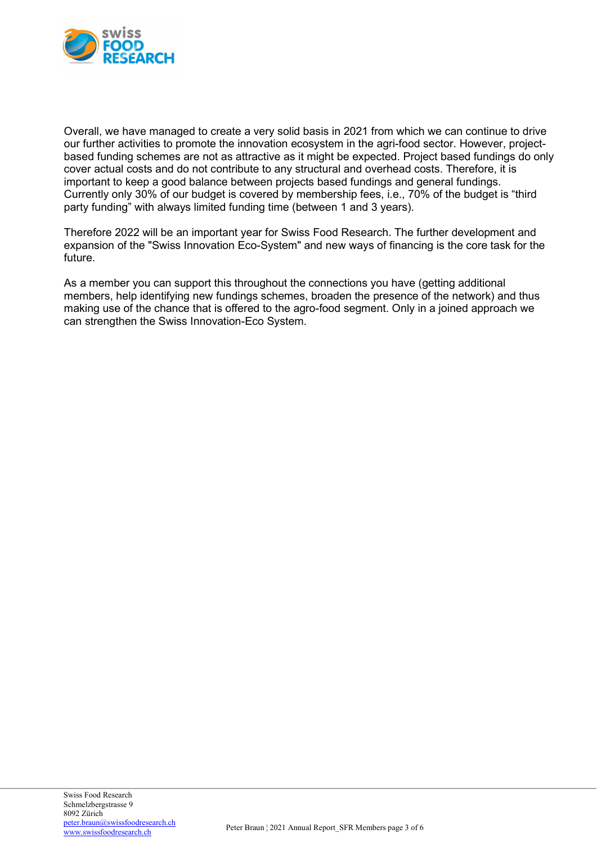

Overall, we have managed to create a very solid basis in 2021 from which we can continue to drive our further activities to promote the innovation ecosystem in the agri-food sector. However, projectbased funding schemes are not as attractive as it might be expected. Project based fundings do only cover actual costs and do not contribute to any structural and overhead costs. Therefore, it is important to keep a good balance between projects based fundings and general fundings. Currently only 30% of our budget is covered by membership fees, i.e., 70% of the budget is "third party funding" with always limited funding time (between 1 and 3 years).

Therefore 2022 will be an important year for Swiss Food Research. The further development and expansion of the "Swiss Innovation Eco-System" and new ways of financing is the core task for the future.

As a member you can support this throughout the connections you have (getting additional members, help identifying new fundings schemes, broaden the presence of the network) and thus making use of the chance that is offered to the agro-food segment. Only in a joined approach we can strengthen the Swiss Innovation-Eco System.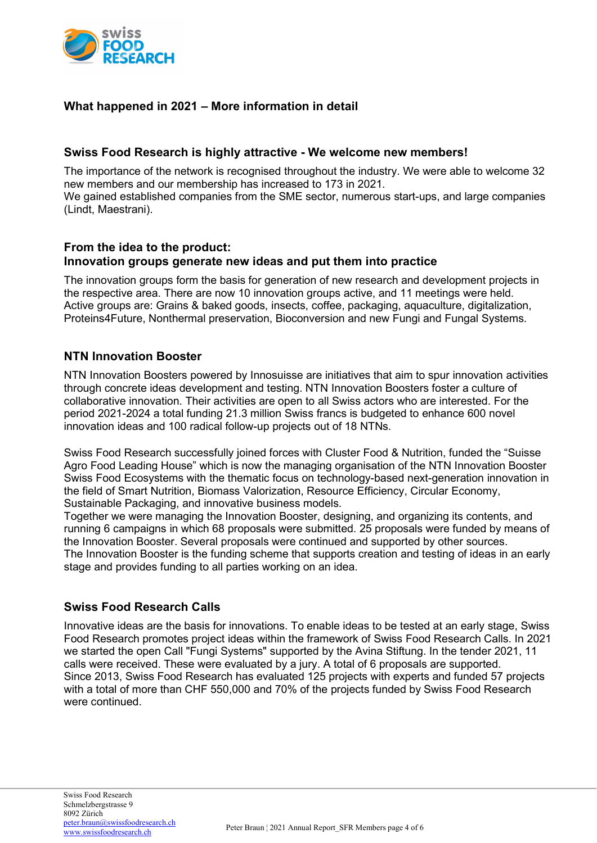

# What happened in 2021 – More information in detail

## Swiss Food Research is highly attractive - We welcome new members!

The importance of the network is recognised throughout the industry. We were able to welcome 32 new members and our membership has increased to 173 in 2021.

We gained established companies from the SME sector, numerous start-ups, and large companies (Lindt, Maestrani).

### From the idea to the product: Innovation groups generate new ideas and put them into practice

The innovation groups form the basis for generation of new research and development projects in the respective area. There are now 10 innovation groups active, and 11 meetings were held. Active groups are: Grains & baked goods, insects, coffee, packaging, aquaculture, digitalization, Proteins4Future, Nonthermal preservation, Bioconversion and new Fungi and Fungal Systems.

## NTN Innovation Booster

NTN Innovation Boosters powered by Innosuisse are initiatives that aim to spur innovation activities through concrete ideas development and testing. NTN Innovation Boosters foster a culture of collaborative innovation. Their activities are open to all Swiss actors who are interested. For the period 2021-2024 a total funding 21.3 million Swiss francs is budgeted to enhance 600 novel innovation ideas and 100 radical follow-up projects out of 18 NTNs.

Swiss Food Research successfully joined forces with Cluster Food & Nutrition, funded the "Suisse Agro Food Leading House" which is now the managing organisation of the NTN Innovation Booster Swiss Food Ecosystems with the thematic focus on technology-based next-generation innovation in the field of Smart Nutrition, Biomass Valorization, Resource Efficiency, Circular Economy, Sustainable Packaging, and innovative business models.

Together we were managing the Innovation Booster, designing, and organizing its contents, and running 6 campaigns in which 68 proposals were submitted. 25 proposals were funded by means of the Innovation Booster. Several proposals were continued and supported by other sources. The Innovation Booster is the funding scheme that supports creation and testing of ideas in an early stage and provides funding to all parties working on an idea.

# Swiss Food Research Calls

Innovative ideas are the basis for innovations. To enable ideas to be tested at an early stage, Swiss Food Research promotes project ideas within the framework of Swiss Food Research Calls. In 2021 we started the open Call "Fungi Systems" supported by the Avina Stiftung. In the tender 2021, 11 calls were received. These were evaluated by a jury. A total of 6 proposals are supported. Since 2013, Swiss Food Research has evaluated 125 projects with experts and funded 57 projects with a total of more than CHF 550,000 and 70% of the projects funded by Swiss Food Research were continued.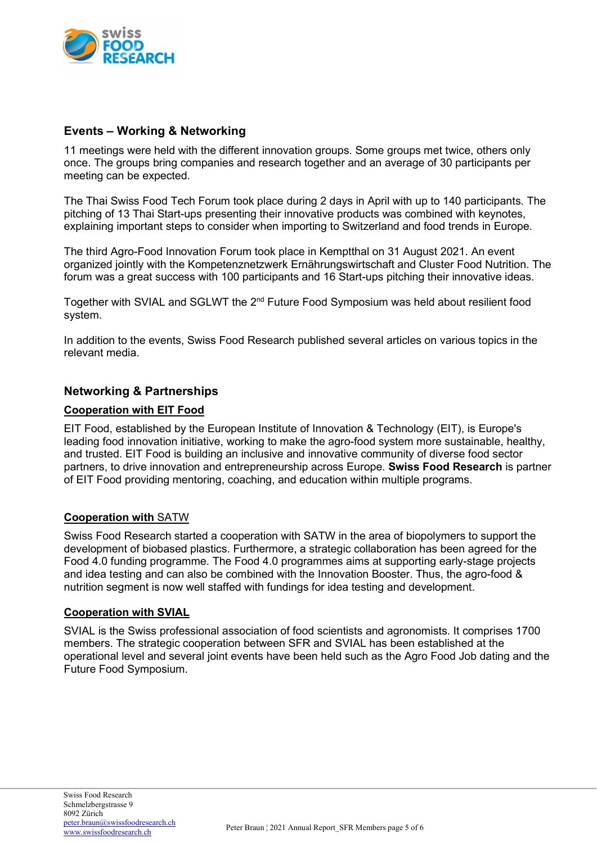

## Events – Working & Networking

11 meetings were held with the different innovation groups. Some groups met twice, others only once. The groups bring companies and research together and an average of 30 participants per meeting can be expected.

The Thai Swiss Food Tech Forum took place during 2 days in April with up to 140 participants. The pitching of 13 Thai Start-ups presenting their innovative products was combined with keynotes, explaining important steps to consider when importing to Switzerland and food trends in Europe.

The third Agro-Food Innovation Forum took place in Kemptthal on 31 August 2021. An event organized jointly with the Kompetenznetzwerk Ernährungswirtschaft and Cluster Food Nutrition. The forum was a great success with 100 participants and 16 Start-ups pitching their innovative ideas.

Together with SVIAL and SGLWT the 2<sup>nd</sup> Future Food Symposium was held about resilient food system.

In addition to the events, Swiss Food Research published several articles on various topics in the relevant media.

# Networking & Partnerships

### Cooperation with EIT Food

EIT Food, established by the European Institute of Innovation & Technology (EIT), is Europe's leading food innovation initiative, working to make the agro-food system more sustainable, healthy, and trusted. EIT Food is building an inclusive and innovative community of diverse food sector partners, to drive innovation and entrepreneurship across Europe. Swiss Food Research is partner of EIT Food providing mentoring, coaching, and education within multiple programs.

### Cooperation with SATW

Swiss Food Research started a cooperation with SATW in the area of biopolymers to support the development of biobased plastics. Furthermore, a strategic collaboration has been agreed for the Food 4.0 funding programme. The Food 4.0 programmes aims at supporting early-stage projects and idea testing and can also be combined with the Innovation Booster. Thus, the agro-food & nutrition segment is now well staffed with fundings for idea testing and development.

### Cooperation with SVIAL

SVIAL is the Swiss professional association of food scientists and agronomists. It comprises 1700 members. The strategic cooperation between SFR and SVIAL has been established at the operational level and several joint events have been held such as the Agro Food Job dating and the Future Food Symposium.